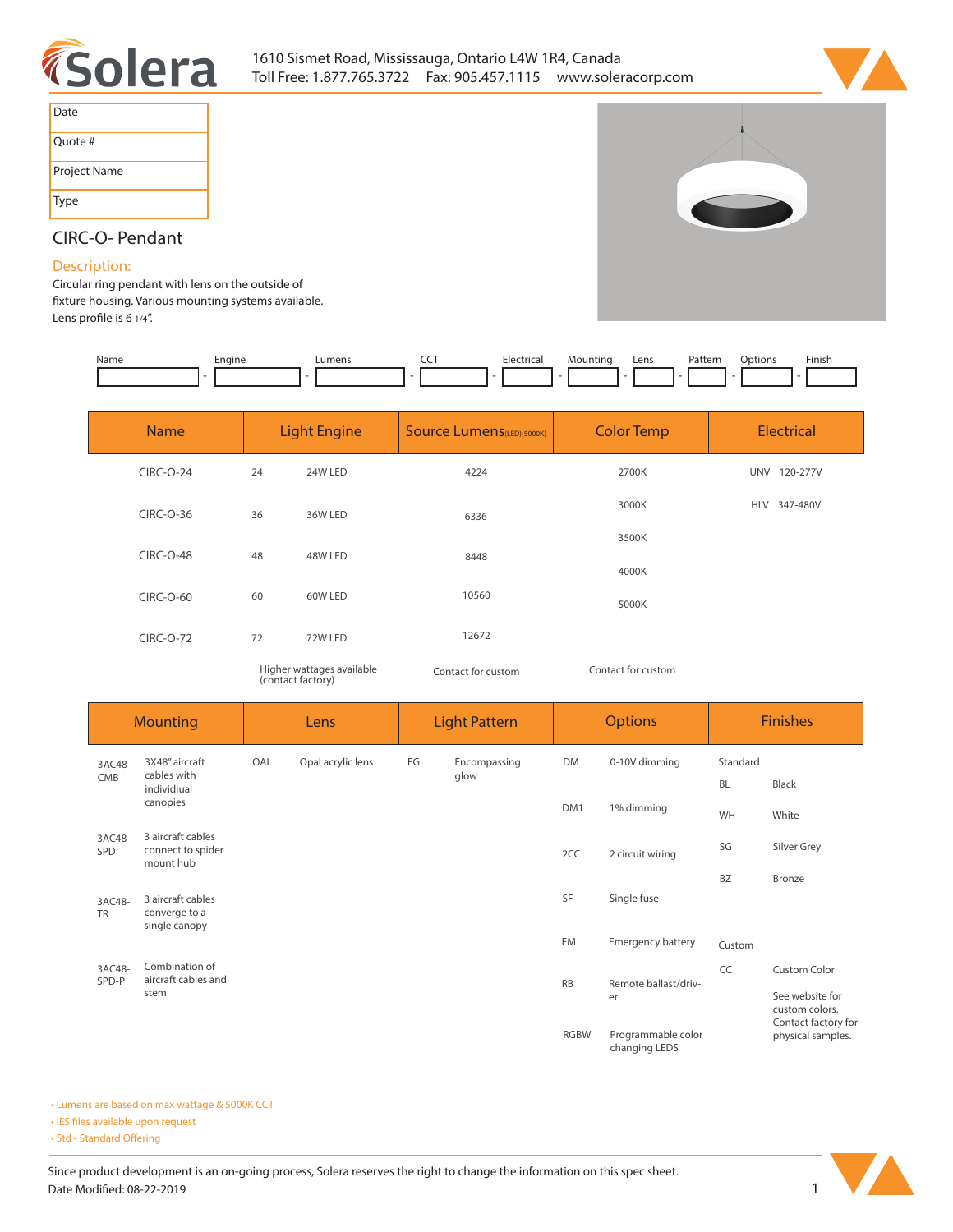



| Date         |
|--------------|
| Quote #      |
| Project Name |
| <b>Type</b>  |



## **CIRC-O- Pendant**

## **Description:**

**Circular ring pendant with lens on the outside of xture housing. Various mounting systems available.**  Lens profile is 6 1/4".

| Name | Engine<br><u>.</u><br>__ | umens_ | ---<br>___ | . IL.A<br>. | Lens | Patterr<br>. | ptions<br>. | Finish |
|------|--------------------------|--------|------------|-------------|------|--------------|-------------|--------|
|      |                          |        |            |             |      |              |             |        |

| <b>Name</b>      | <b>Light Engine</b>       |         | <b>Source Lumens (LED)(5000K)</b> | <b>Color Temp</b>  | <b>Electrical</b> |  |
|------------------|---------------------------|---------|-----------------------------------|--------------------|-------------------|--|
| <b>CIRC-O-24</b> | 24                        | 24W LED | 4224                              | 2700K              | UNV 120-277V      |  |
| CIRC-O-36        | 36                        | 36W LED | 6336                              | 3000K              | HLV 347-480V      |  |
| <b>CIRC-O-48</b> | 48                        | 48W LED | 8448                              | 3500K              |                   |  |
|                  |                           |         |                                   | 4000K              |                   |  |
| CIRC-O-60        | 60                        | 60W LED | 10560                             | 5000K              |                   |  |
| <b>CIRC-O-72</b> | 72                        | 72W LED | 12672                             |                    |                   |  |
|                  | Higher wattages available |         | Contact for custom                | Contact for custom |                   |  |

*Higher wattages available (contact factory)*

*Contact for custom*

| <b>Mounting</b>     |                                                     | Lens |                   | <b>Light Pattern</b>                |                      | <b>Options</b>                           |                          | <b>Finishes</b>       |                                   |
|---------------------|-----------------------------------------------------|------|-------------------|-------------------------------------|----------------------|------------------------------------------|--------------------------|-----------------------|-----------------------------------|
| 3AC48-<br>CMB       | 3X48" aircraft<br>cables with                       | OAL  | Opal acrylic lens | EG                                  | Encompassing<br>glow | <b>DM</b>                                | 0-10V dimming            | Standard<br><b>BL</b> | Black                             |
|                     | individiual<br>canopies                             |      |                   |                                     | DM1                  | 1% dimming                               | WH                       | White                 |                                   |
| 3AC48-<br>SPD       | 3 aircraft cables<br>connect to spider<br>mount hub |      |                   |                                     |                      | 2CC                                      | 2 circuit wiring         | SG                    | Silver Grey                       |
|                     | 3 aircraft cables                                   |      |                   |                                     |                      | SF                                       | Single fuse              | <b>BZ</b>             | Bronze                            |
| 3AC48-<br><b>TR</b> | converge to a<br>single canopy                      |      |                   |                                     |                      |                                          |                          |                       |                                   |
|                     |                                                     |      |                   |                                     |                      | EM                                       | <b>Emergency battery</b> | Custom                |                                   |
| 3AC48-<br>SPD-P     | Combination of<br>aircraft cables and               |      |                   |                                     |                      | <b>RB</b>                                | Remote ballast/driv-     | CC                    | <b>Custom Color</b>               |
|                     | stem                                                |      |                   |                                     |                      |                                          | er                       |                       | See website for<br>custom colors. |
|                     |                                                     |      | <b>RGBW</b>       | Programmable color<br>changing LEDS |                      | Contact factory for<br>physical samples. |                          |                       |                                   |

**• Lumens are based on max wattage & 5000K CCT**

**• IES files available upon request** 

• Std - Standard Offering